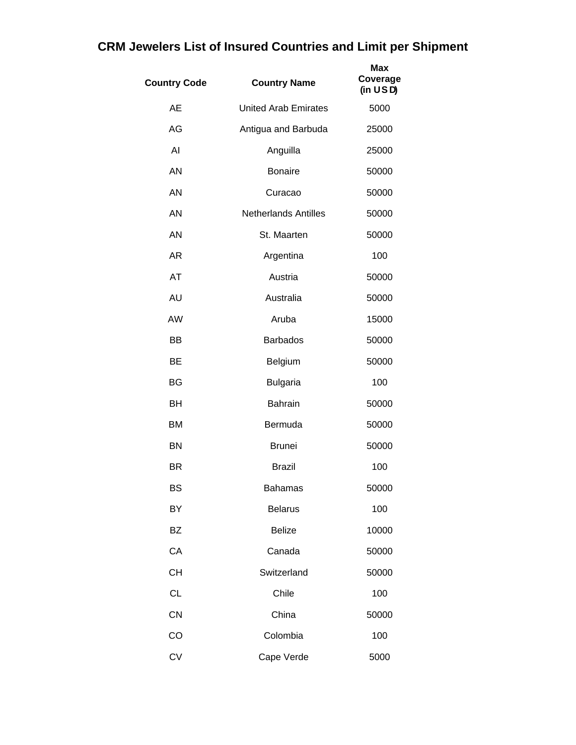| <b>Country Code</b> | <b>Country Name</b>         | Max<br>Coverage<br>(in <b>USD</b> ) |
|---------------------|-----------------------------|-------------------------------------|
| <b>AE</b>           | <b>United Arab Emirates</b> | 5000                                |
| AG                  | Antigua and Barbuda         | 25000                               |
| AI                  | Anguilla                    | 25000                               |
| <b>AN</b>           | <b>Bonaire</b>              | 50000                               |
| <b>AN</b>           | Curacao                     | 50000                               |
| AN                  | <b>Netherlands Antilles</b> | 50000                               |
| AN                  | St. Maarten                 | 50000                               |
| <b>AR</b>           | Argentina                   | 100                                 |
| AT                  | Austria                     | 50000                               |
| <b>AU</b>           | Australia                   | 50000                               |
| AW                  | Aruba                       | 15000                               |
| BB                  | <b>Barbados</b>             | 50000                               |
| <b>BE</b>           | Belgium                     | 50000                               |
| <b>BG</b>           | <b>Bulgaria</b>             | 100                                 |
| BH                  | <b>Bahrain</b>              | 50000                               |
| BM                  | Bermuda                     | 50000                               |
| <b>BN</b>           | <b>Brunei</b>               | 50000                               |
| BR                  | <b>Brazil</b>               | 100                                 |
| BS                  | <b>Bahamas</b>              | 50000                               |
| BY                  | <b>Belarus</b>              | 100                                 |
| <b>BZ</b>           | <b>Belize</b>               | 10000                               |
| CA                  | Canada                      | 50000                               |
| <b>CH</b>           | Switzerland                 | 50000                               |
| <b>CL</b>           | Chile                       | 100                                 |
| CN                  | China                       | 50000                               |
| CO                  | Colombia                    | 100                                 |
| <b>CV</b>           | Cape Verde                  | 5000                                |

## **CRM Jewelers List of Insured Countries and Limit per Shipment**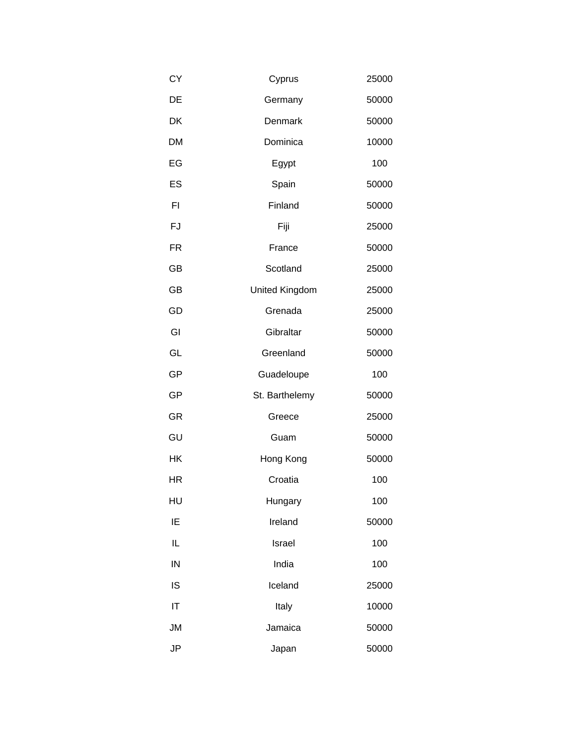| CY        | Cyprus         | 25000 |
|-----------|----------------|-------|
| DE        | Germany        | 50000 |
| DK        | Denmark        | 50000 |
| <b>DM</b> | Dominica       | 10000 |
| EG        | Egypt          | 100   |
| ES        | Spain          | 50000 |
| FI        | Finland        | 50000 |
| FJ        | Fiji           | 25000 |
| <b>FR</b> | France         | 50000 |
| GB        | Scotland       | 25000 |
| GB        | United Kingdom | 25000 |
| GD        | Grenada        | 25000 |
| GI        | Gibraltar      | 50000 |
| GL        | Greenland      | 50000 |
|           |                |       |
| GP        | Guadeloupe     | 100   |
| GP        | St. Barthelemy | 50000 |
| <b>GR</b> | Greece         | 25000 |
| GU        | Guam           | 50000 |
| HK        | Hong Kong      | 50000 |
| HR        | Croatia        | 100   |
| HU        | Hungary        | 100   |
| IE        | Ireland        | 50000 |
| IL        | Israel         | 100   |
| IN        | India          | 100   |
| IS        | Iceland        | 25000 |
| IT        | Italy          | 10000 |
| <b>JM</b> | Jamaica        | 50000 |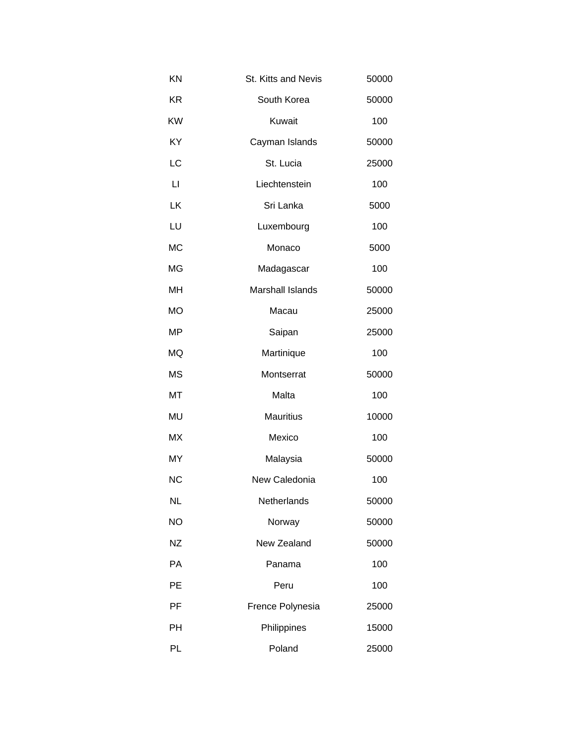| KN           | St. Kitts and Nevis     | 50000 |
|--------------|-------------------------|-------|
| <b>KR</b>    | South Korea             | 50000 |
| KW           | Kuwait                  | 100   |
| KY           | Cayman Islands          | 50000 |
| LC           | St. Lucia               | 25000 |
| $\mathsf{L}$ | Liechtenstein           | 100   |
| LK           | Sri Lanka               | 5000  |
| LU           | Luxembourg              | 100   |
| <b>MC</b>    | Monaco                  | 5000  |
| MG           | Madagascar              | 100   |
| MH           | <b>Marshall Islands</b> | 50000 |
| <b>MO</b>    | Macau                   | 25000 |
| MP           | Saipan                  | 25000 |
| MQ           | Martinique              | 100   |
| <b>MS</b>    | Montserrat              | 50000 |
| MT           | Malta                   | 100   |
| MU           | <b>Mauritius</b>        | 10000 |
| МX           | Mexico                  | 100   |
| MY           | Malaysia                | 50000 |
| <b>NC</b>    | New Caledonia           | 100   |
| <b>NL</b>    | Netherlands             | 50000 |
| <b>NO</b>    | Norway                  | 50000 |
| <b>NZ</b>    | New Zealand             | 50000 |
| PA           | Panama                  | 100   |
| PE           | Peru                    | 100   |
| PF           | Frence Polynesia        | 25000 |
| PH           | Philippines             | 15000 |
| PL           | Poland                  | 25000 |